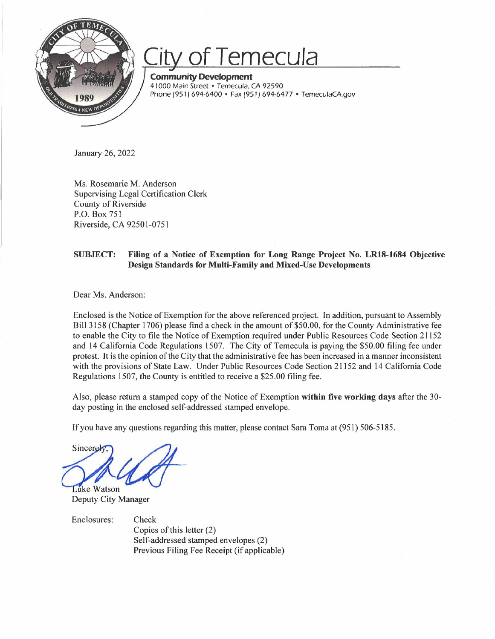

## **of Temecula**

**Community Development**  41000 Main Street • Temecula, CA 92590 Phone (951) 694-6400 • Fax (951) 694-6477 • TemeculaCA.gov

January 26, 2022

Ms. Rosemarie M. Anderson Supervising Legal Certification Clerk County of Riverside P.O. Box 751 Riverside, CA 92501-0751

## **SUBJECT: Filing of a Notice of Exemption for Long Range Project No. LR18-1684 Objective Design Standards for Multi-Family and Mixed-Use Developments**

Dear Ms. Anderson:

Enclosed is the Notice of Exemption for the above referenced project. In addition, pursuant to Assembly Bill 3158 (Chapter 1706) please find a check in the amount of \$50.00, for the County Administrative fee to enable the City to file the Notice of Exemption required under Public Resources Code Section 21152 and 14 California Code Regulations 1507. The City of Temecula is paying the \$50.00 filing fee under protest. It is the opinion of the City that the administrative fee has been increased in a manner inconsistent with the provisions of State Law. Under Public Resources Code Section 21152 and 14 California Code Regulations 1507, the County is entitled to receive a \$25.00 filing fee.

Also, please return a stamped copy of the Notice of Exemption **within five working days** after the 30 day posting in the enclosed self-addressed stamped envelope.

If you have any questions regarding this matter, please contact Sara Toma at (951) 506-5185.

Sincerek uke Watson

Deputy City Manager

Enclosures: Check Copies of this letter (2) Self-addressed stamped envelopes (2) Previous Filing Fee Receipt (if applicable)